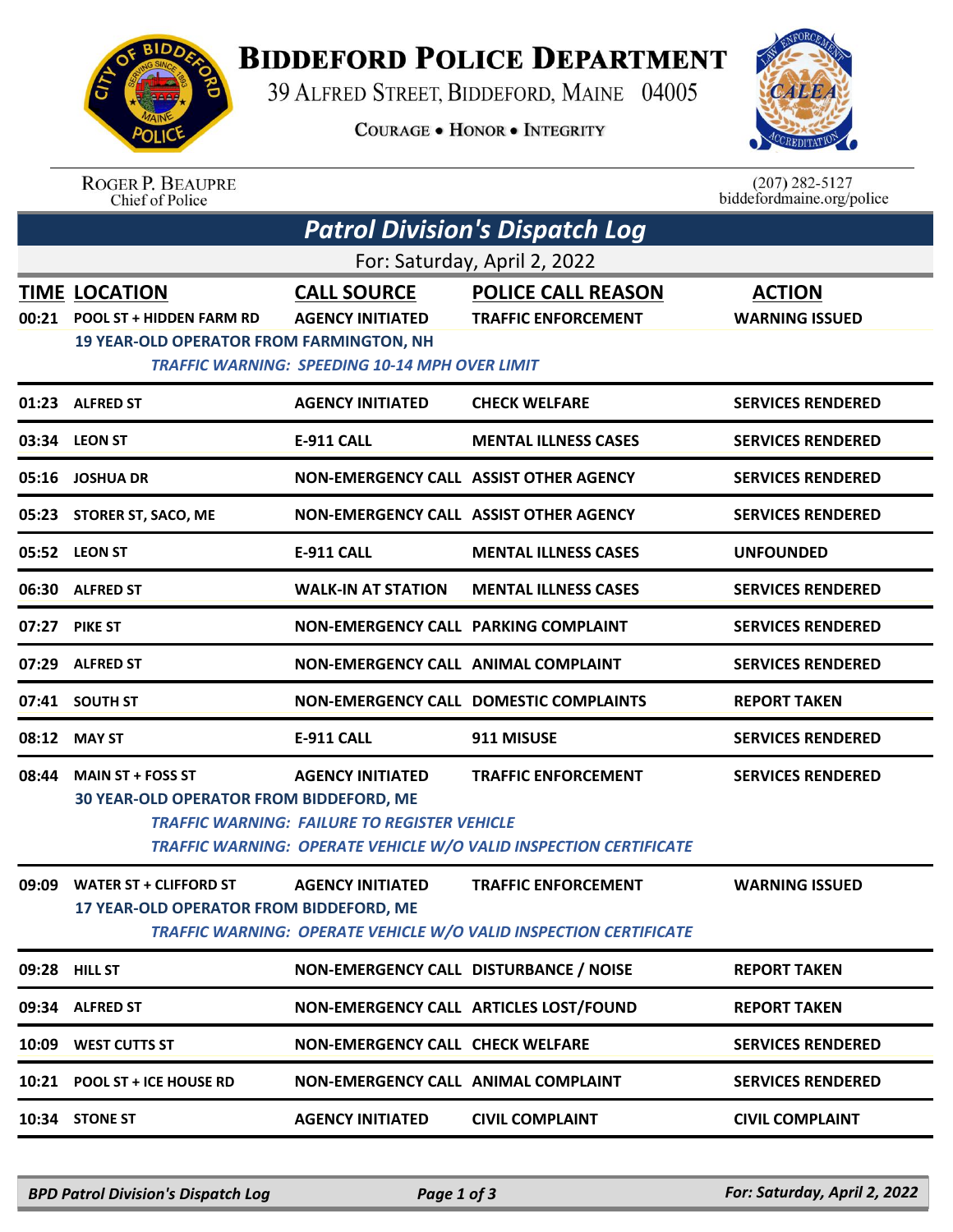

## **BIDDEFORD POLICE DEPARTMENT**

39 ALFRED STREET, BIDDEFORD, MAINE 04005

**COURAGE . HONOR . INTEGRITY** 



ROGER P. BEAUPRE<br>Chief of Police

 $(207)$  282-5127<br>biddefordmaine.org/police

| <b>Patrol Division's Dispatch Log</b> |                                                                                                            |                                                                                                        |                                                                                                 |                                        |  |  |  |  |
|---------------------------------------|------------------------------------------------------------------------------------------------------------|--------------------------------------------------------------------------------------------------------|-------------------------------------------------------------------------------------------------|----------------------------------------|--|--|--|--|
| For: Saturday, April 2, 2022          |                                                                                                            |                                                                                                        |                                                                                                 |                                        |  |  |  |  |
| 00:21                                 | <b>TIME LOCATION</b><br><b>POOL ST + HIDDEN FARM RD</b><br><b>19 YEAR-OLD OPERATOR FROM FARMINGTON, NH</b> | <b>CALL SOURCE</b><br><b>AGENCY INITIATED</b><br><b>TRAFFIC WARNING: SPEEDING 10-14 MPH OVER LIMIT</b> | <b>POLICE CALL REASON</b><br><b>TRAFFIC ENFORCEMENT</b>                                         | <b>ACTION</b><br><b>WARNING ISSUED</b> |  |  |  |  |
|                                       | 01:23 ALFRED ST                                                                                            | <b>AGENCY INITIATED</b>                                                                                | <b>CHECK WELFARE</b>                                                                            | <b>SERVICES RENDERED</b>               |  |  |  |  |
|                                       | 03:34 LEON ST                                                                                              | <b>E-911 CALL</b>                                                                                      | <b>MENTAL ILLNESS CASES</b>                                                                     | <b>SERVICES RENDERED</b>               |  |  |  |  |
|                                       | 05:16 JOSHUA DR                                                                                            | NON-EMERGENCY CALL ASSIST OTHER AGENCY                                                                 |                                                                                                 | <b>SERVICES RENDERED</b>               |  |  |  |  |
| 05:23                                 | <b>STORER ST, SACO, ME</b>                                                                                 | NON-EMERGENCY CALL ASSIST OTHER AGENCY                                                                 |                                                                                                 | <b>SERVICES RENDERED</b>               |  |  |  |  |
|                                       | 05:52 LEON ST                                                                                              | <b>E-911 CALL</b>                                                                                      | <b>MENTAL ILLNESS CASES</b>                                                                     | <b>UNFOUNDED</b>                       |  |  |  |  |
|                                       | 06:30 ALFRED ST                                                                                            | <b>WALK-IN AT STATION</b>                                                                              | <b>MENTAL ILLNESS CASES</b>                                                                     | <b>SERVICES RENDERED</b>               |  |  |  |  |
| 07:27                                 | <b>PIKE ST</b>                                                                                             | <b>NON-EMERGENCY CALL PARKING COMPLAINT</b>                                                            |                                                                                                 | <b>SERVICES RENDERED</b>               |  |  |  |  |
| 07:29                                 | <b>ALFRED ST</b>                                                                                           | NON-EMERGENCY CALL ANIMAL COMPLAINT                                                                    |                                                                                                 | <b>SERVICES RENDERED</b>               |  |  |  |  |
|                                       | 07:41 SOUTH ST                                                                                             |                                                                                                        | NON-EMERGENCY CALL DOMESTIC COMPLAINTS                                                          | <b>REPORT TAKEN</b>                    |  |  |  |  |
|                                       | 08:12 MAY ST                                                                                               | <b>E-911 CALL</b>                                                                                      | 911 MISUSE                                                                                      | <b>SERVICES RENDERED</b>               |  |  |  |  |
| 08:44                                 | <b>MAIN ST + FOSS ST</b><br>30 YEAR-OLD OPERATOR FROM BIDDEFORD, ME                                        | <b>AGENCY INITIATED</b><br><b>TRAFFIC WARNING: FAILURE TO REGISTER VEHICLE</b>                         | <b>TRAFFIC ENFORCEMENT</b><br>TRAFFIC WARNING: OPERATE VEHICLE W/O VALID INSPECTION CERTIFICATE | <b>SERVICES RENDERED</b>               |  |  |  |  |
| 09:09                                 | <b>WATER ST + CLIFFORD ST</b><br>17 YEAR-OLD OPERATOR FROM BIDDEFORD, ME                                   | <b>AGENCY INITIATED</b>                                                                                | <b>TRAFFIC ENFORCEMENT</b><br>TRAFFIC WARNING: OPERATE VEHICLE W/O VALID INSPECTION CERTIFICATE | <b>WARNING ISSUED</b>                  |  |  |  |  |
|                                       | 09:28 HILL ST                                                                                              | NON-EMERGENCY CALL DISTURBANCE / NOISE                                                                 |                                                                                                 | <b>REPORT TAKEN</b>                    |  |  |  |  |
|                                       | 09:34 ALFRED ST                                                                                            |                                                                                                        | NON-EMERGENCY CALL ARTICLES LOST/FOUND                                                          | <b>REPORT TAKEN</b>                    |  |  |  |  |
| 10:09                                 | <b>WEST CUTTS ST</b>                                                                                       | NON-EMERGENCY CALL CHECK WELFARE                                                                       |                                                                                                 | <b>SERVICES RENDERED</b>               |  |  |  |  |
| 10:21                                 | POOL ST + ICE HOUSE RD                                                                                     | NON-EMERGENCY CALL ANIMAL COMPLAINT                                                                    |                                                                                                 | <b>SERVICES RENDERED</b>               |  |  |  |  |
|                                       | 10:34 STONE ST                                                                                             | <b>AGENCY INITIATED</b>                                                                                | <b>CIVIL COMPLAINT</b>                                                                          | <b>CIVIL COMPLAINT</b>                 |  |  |  |  |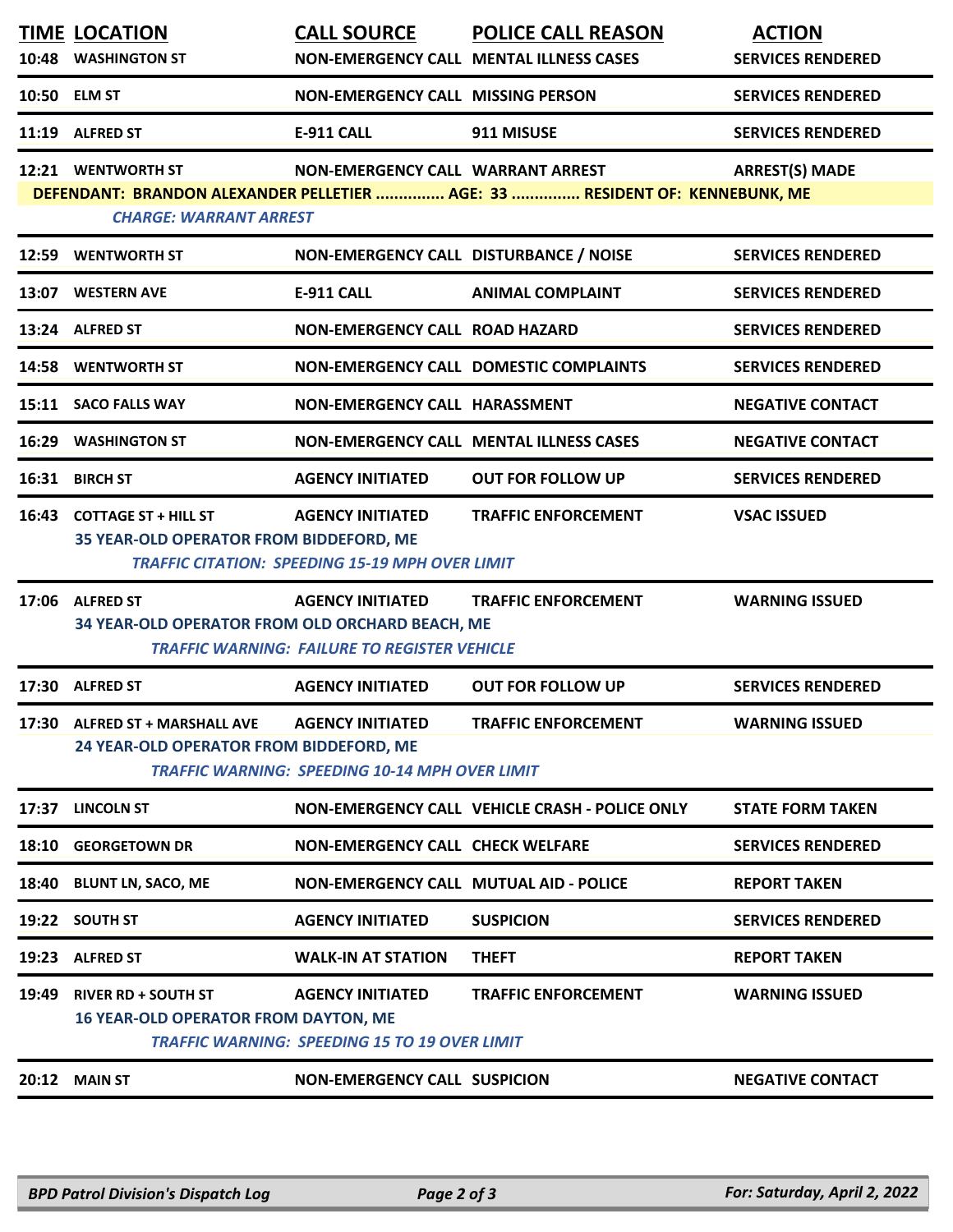| 10:48 | <b>TIME LOCATION</b><br><b>WASHINGTON ST</b>                                                                                                                                                                | <b>CALL SOURCE</b>                                                                | <b>POLICE CALL REASON</b><br>NON-EMERGENCY CALL MENTAL ILLNESS CASES | <b>ACTION</b><br><b>SERVICES RENDERED</b> |  |  |  |  |
|-------|-------------------------------------------------------------------------------------------------------------------------------------------------------------------------------------------------------------|-----------------------------------------------------------------------------------|----------------------------------------------------------------------|-------------------------------------------|--|--|--|--|
| 10:50 | <b>ELM ST</b>                                                                                                                                                                                               | <b>NON-EMERGENCY CALL MISSING PERSON</b>                                          |                                                                      | <b>SERVICES RENDERED</b>                  |  |  |  |  |
| 11:19 | <b>ALFRED ST</b>                                                                                                                                                                                            | <b>E-911 CALL</b>                                                                 | 911 MISUSE                                                           | <b>SERVICES RENDERED</b>                  |  |  |  |  |
|       | 12:21 WENTWORTH ST<br>NON-EMERGENCY CALL WARRANT ARREST<br><b>ARREST(S) MADE</b><br>DEFENDANT: BRANDON ALEXANDER PELLETIER  AGE: 33  RESIDENT OF: KENNEBUNK, ME<br><b>CHARGE: WARRANT ARREST</b>            |                                                                                   |                                                                      |                                           |  |  |  |  |
| 12:59 | <b>WENTWORTH ST</b>                                                                                                                                                                                         | NON-EMERGENCY CALL DISTURBANCE / NOISE                                            |                                                                      | <b>SERVICES RENDERED</b>                  |  |  |  |  |
|       | 13:07 WESTERN AVE                                                                                                                                                                                           | <b>E-911 CALL</b>                                                                 | <b>ANIMAL COMPLAINT</b>                                              | <b>SERVICES RENDERED</b>                  |  |  |  |  |
|       | 13:24 ALFRED ST                                                                                                                                                                                             | NON-EMERGENCY CALL ROAD HAZARD                                                    |                                                                      | <b>SERVICES RENDERED</b>                  |  |  |  |  |
| 14:58 | <b>WENTWORTH ST</b>                                                                                                                                                                                         |                                                                                   | NON-EMERGENCY CALL DOMESTIC COMPLAINTS                               | <b>SERVICES RENDERED</b>                  |  |  |  |  |
|       | 15:11 SACO FALLS WAY                                                                                                                                                                                        | NON-EMERGENCY CALL HARASSMENT                                                     |                                                                      | <b>NEGATIVE CONTACT</b>                   |  |  |  |  |
| 16:29 | <b>WASHINGTON ST</b>                                                                                                                                                                                        |                                                                                   | NON-EMERGENCY CALL MENTAL ILLNESS CASES                              | <b>NEGATIVE CONTACT</b>                   |  |  |  |  |
| 16:31 | <b>BIRCH ST</b>                                                                                                                                                                                             | <b>AGENCY INITIATED</b>                                                           | <b>OUT FOR FOLLOW UP</b>                                             | <b>SERVICES RENDERED</b>                  |  |  |  |  |
|       | 16:43 COTTAGE ST + HILL ST<br>35 YEAR-OLD OPERATOR FROM BIDDEFORD, ME                                                                                                                                       | <b>AGENCY INITIATED</b><br><b>TRAFFIC CITATION: SPEEDING 15-19 MPH OVER LIMIT</b> | <b>TRAFFIC ENFORCEMENT</b>                                           | <b>VSAC ISSUED</b>                        |  |  |  |  |
|       | 17:06 ALFRED ST<br><b>AGENCY INITIATED</b><br><b>TRAFFIC ENFORCEMENT</b><br><b>WARNING ISSUED</b><br>34 YEAR-OLD OPERATOR FROM OLD ORCHARD BEACH, ME<br><b>TRAFFIC WARNING: FAILURE TO REGISTER VEHICLE</b> |                                                                                   |                                                                      |                                           |  |  |  |  |
|       | 17:30 ALFRED ST                                                                                                                                                                                             | <b>AGENCY INITIATED</b>                                                           | <b>OUT FOR FOLLOW UP</b>                                             | <b>SERVICES RENDERED</b>                  |  |  |  |  |
|       | 17:30 ALFRED ST + MARSHALL AVE<br>24 YEAR-OLD OPERATOR FROM BIDDEFORD, ME                                                                                                                                   | <b>AGENCY INITIATED</b><br><b>TRAFFIC WARNING: SPEEDING 10-14 MPH OVER LIMIT</b>  | <b>TRAFFIC ENFORCEMENT</b>                                           | <b>WARNING ISSUED</b>                     |  |  |  |  |
| 17:37 | <b>LINCOLN ST</b>                                                                                                                                                                                           |                                                                                   | NON-EMERGENCY CALL VEHICLE CRASH - POLICE ONLY                       | <b>STATE FORM TAKEN</b>                   |  |  |  |  |
|       | 18:10 GEORGETOWN DR                                                                                                                                                                                         | <b>NON-EMERGENCY CALL CHECK WELFARE</b>                                           |                                                                      | <b>SERVICES RENDERED</b>                  |  |  |  |  |
| 18:40 | <b>BLUNT LN, SACO, ME</b>                                                                                                                                                                                   | NON-EMERGENCY CALL MUTUAL AID - POLICE                                            |                                                                      | <b>REPORT TAKEN</b>                       |  |  |  |  |
|       | 19:22 SOUTH ST                                                                                                                                                                                              | <b>AGENCY INITIATED</b>                                                           | <b>SUSPICION</b>                                                     | <b>SERVICES RENDERED</b>                  |  |  |  |  |
|       | 19:23 ALFRED ST                                                                                                                                                                                             | <b>WALK-IN AT STATION</b>                                                         | <b>THEFT</b>                                                         | <b>REPORT TAKEN</b>                       |  |  |  |  |
| 19:49 | <b>RIVER RD + SOUTH ST</b><br><b>16 YEAR-OLD OPERATOR FROM DAYTON, ME</b>                                                                                                                                   | <b>AGENCY INITIATED</b><br><b>TRAFFIC WARNING: SPEEDING 15 TO 19 OVER LIMIT</b>   | <b>TRAFFIC ENFORCEMENT</b>                                           | <b>WARNING ISSUED</b>                     |  |  |  |  |
|       | <b>20:12 MAIN ST</b>                                                                                                                                                                                        | <b>NON-EMERGENCY CALL SUSPICION</b>                                               |                                                                      | <b>NEGATIVE CONTACT</b>                   |  |  |  |  |